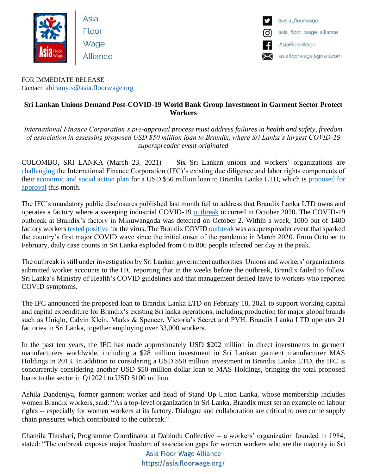

Asia Floor Wage Alliance



FOR IMMEDIATE RELEASE Contact: [abiramy.s@asia.floorwage.org](mailto:abiramy.s@asia.floorwage.org)

## **Sri Lankan Unions Demand Post-COVID-19 World Bank Group Investment in Garment Sector Protect Workers**

*International Finance Corporation's pre-approval process must address failures in health and safety, freedom of association in assessing proposed USD \$50 million loan to Brandix, where Sri Lanka's largest COVID-19 superspreader event originated*

COLOMBO, SRI LANKA (March 23, 2021) — Six Sri Lankan unions and workers' organizations are [challenging](https://globallaborjustice.org/brief-ifc-investment-in-brandix-lanka-brief-ifc-investment-in-brandix-lanka-ltd/) the International Finance Corporation (IFC)'s existing due diligence and labor rights components of their [economic and social action plan](https://disclosures.ifc.org/project-detail/ESRS/44341/brandix-apparel-limited) for a USD \$50 million loan to Brandix Lanka LTD, which is [proposed for](https://disclosures.ifc.org/project-detail/SII/44341/brandix-apparel-limited)  [approval](https://disclosures.ifc.org/project-detail/SII/44341/brandix-apparel-limited) this month.

The IFC's mandatory public disclosures published last month fail to address that Brandix Lanka LTD owns and operates a factory where a sweeping industrial COVID-19 [outbreak](https://www.reuters.com/article/us-health-coronavirus-sri-lanka-workers-idUSKBN27K08Z) occurred in October 2020. The COVID-19 outbreak at Brandix's factory in Minuwangoda was detected on October 2. Within a week, 1000 out of 1400 factory workers [tested positive](https://www.huffpost.com/archive/in/entry/sri-lankas-garment-factory-workers-coronavirus-pandemic_in_5fae6868c5b6b363336975a2) for the virus. The Brandix COVI[D outbreak](https://www.vice.com/en/article/z3vnpa/sri-lanka-covid-brandix-coronavirus-outbreak) was a superspreader event that sparked the country's first major COVID wave since the initial onset of the pandemic in March 2020. From October to February, daily case counts in Sri Lanka exploded from 6 to 806 people infected per day at the peak.

The outbreak is still under investigation by Sri Lankan government authorities. Unions and workers' organizations submitted worker accounts to the IFC reporting that in the weeks before the outbreak, Brandix failed to follow Sri Lanka's Ministry of Health's COVID guidelines and that management denied leave to workers who reported COVID symptoms.

The IFC announced the proposed loan to Brandix Lanka LTD on February 18, 2021 to support working capital and capital expenditure for Brandix's existing Sri lanka operations, including production for major global brands such as Uniqlo, Calvin Klein, Marks & Spencer, Victoria's Secret and PVH. Brandix Lanka LTD operates 21 factories in Sri Lanka, together employing over 33,000 workers.

In the past ten years, the IFC has made approximately USD \$202 million in direct investments to garment manufacturers worldwide, including a \$28 million investment in Sri Lankan garment manufacturer MAS Holdings in 2013. In addition to considering a USD \$50 million investment in Brandix Lanka LTD, the IFC is concurrently considering another USD \$50 million dollar loan to MAS Holdings, bringing the total proposed loans to the sector in Q12021 to USD \$100 million.

Ashila Dandeniya, former garment worker and head of Stand Up Union Lanka, whose membership includes women Brandix workers, said: "As a top-level organization in Sri Lanka, Brandix must set an example on labour rights -- especially for women workers at its factory. Dialogue and collaboration are critical to overcome supply chain pressures which contributed to the outbreak."

Chamila Thushari, Programme Coordinator at Dabindu Collective -- a workers' organization founded in 1984, stated: "The outbreak exposes major freedom of association gaps for women workers who are the majority in Sri

> Asia Floor Wage Alliance https://asia.floorwage.org/